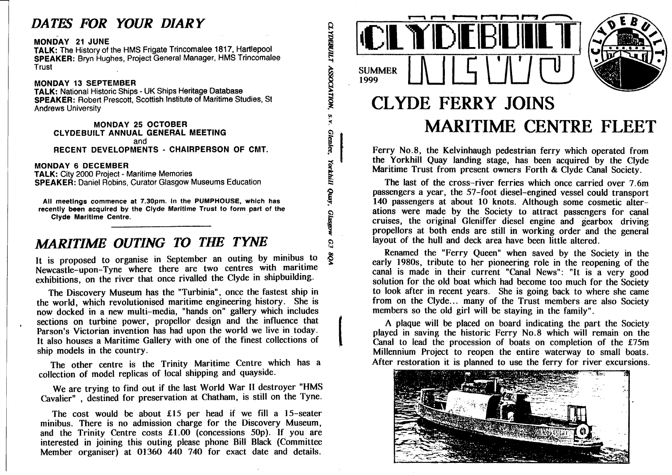# *DATES FOR YOUR DIARY*

#### **MONDAY 21 JUNE**

 **TALK: The History of the HMS Frigate Trincomalee 1817, Hartlepool SPEAKER : Bryn Hughes, Project General Manager, HMS Trincomalee Trust** 

#### **MONDAY 13 SEPTEMBE**

 **<sup>R</sup> TALK: National Historic Ships - UK Ships Heritage Database SPEAKER : Robert Prescott, Scottish Institut e of Maritime Studies, St Andrews University** 

**MONDAY 25 OCTOBE <sup>R</sup> CLYDEBUILT ANNUAL GENERA L MEETING and RECENT DEVELOPMENTS - CHAIRPERSON OF CMT.** 

**MONDAY 6 DECEMBE <sup>R</sup>**

 **TALK: City 2000 Project - Maritime Memories SPEAKER : Daniel Robins. Curator Glasgo w Museums Education** 

**All meetings commence at 7.30pm. in the PUMPHOUSE, which has recently been acquired by the Clyde Maritime Trust to form part of the Clyde Maritime Centre.** 

# *MARITIME OUTING TO THE TYNE*

**It is proposed to organise in September an outing by minibus to Newcastle-upon-Tyne where there are two centres with maritime exhibitions, on the river that once rivalled the Clyde in shipbuilding.** 

 **The Discovery Museum has the "Turbinia", once the fastest ship in the world, which revolutionised maritime engineering history. She is now docked in a new multi-media, "hands on" gallery which includes sections on turbine power, propellor design and the influence that Parson's Victorian invention has had upon the world we live in today. It also houses a Maritime Gallery with one of the finest collections of ship models in the country.** 

**The other centre is the Trinity Maritime Centre which has a collection of model replicas of local shipping and quayside.** 

 **We are trying to find out if the last World War II destroyer "HMS Cavalier" , destined for preservation at Chatham, is still on the Tyne.** 

**The cost would be about £15 per head if we fill a 15-seater minibus. There is no admission charge for the Discovery Museum, and the Trinity Centre costs £1.00 (concessions 50p). If you are interested in joining this outing please phone Bill Black (Committee Member organiser) at 01360 440 740 for exact date and details.** 



**CLYDEBUILT** 

ASSOCIATION, S.V.

Glenlec,

Yorkhill Quay,

**Glasgow** 

 $\Omega$ 



# **CLYDE FERRY JOINS MARITIME CENTRE FLEET**

 **Ferry No.8, the Kelvinhaugh pedestrian ferry which operated from the Yorkhill Quay landing stage, has been acquired by the Clyde Maritime Trust from present owners Forth & Clyde Canal Society.** 

 **The last of the cross-river ferries which once carried over 7.6m passengers a year, the 57-foot diesel-engined vessel could transport 140 passengers at about 10 knots. Although some cosmetic alter- ations were made by the Society to attract passengers for canal cruises, the original Gleniffer diesel engine and gearbox driving propellors at both ends are still in working order and the general layout of the hull and deck area have been little altered.** 

**Renamed the "Ferry Queen" when saved by the Society in the early 1980s, tribute to her pioneering role in the reopening of the canal is made in their current "Canal News": "It is a very good solution for the old boat which had become too much for the Society to look after in recent years. She is going back to where she came from on the Clyde... many of the Trust members are also Society members so the old girl will be staying in the family".** 

 **A plaque will be placed on board indicating the part the Society played in saving the historic Ferry No.8 which will remain on the Canal to lead the procession of boats on completion of the £75m Millennium Project to reopen the entire waterway to small boats. After restoration it is planned to use the ferry for river excursions.** 

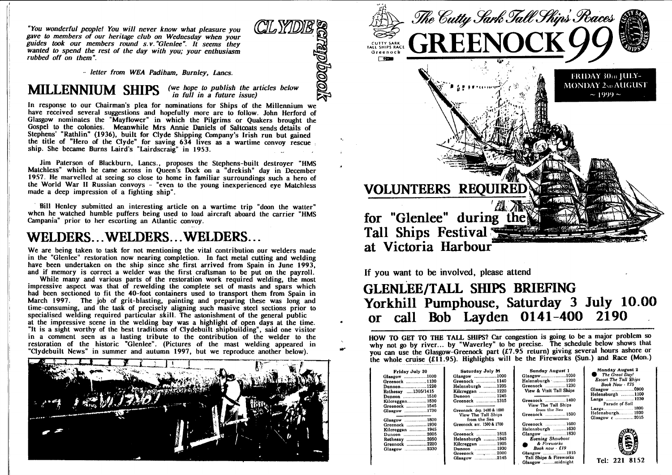*"You wonderful people! You will never know what pleasure you gave to members of our heritage club on Wednesday when your guides took our members round s.v."Glenlee". It seems they wanted to spend the rest of the day with you; your enthusiasm rubbed off on them".* 

*- letter from WEA Padiham, Burnley, Lanes.* 

# **MILLENNIUM** SHIPS  $\frac{1}{2}$  (we hope to publish the articles below

have received several suggestions and hopefully more are to follow. John Herford of In response to our Chairman's plea for nominations for Ships of the Millennium we Glasgow nominates the "Mayflower" in which the Pilgrims or Quakers brought the Gospel to the colonies. Meanwhile Mrs Annie Daniels of Saltcoats sends details of Stephens Kathlin" (1936), built for Clyde Shipping Company's Irish run but gained the title of "Hero of the Clyde" for saving 634 lives as a wartime convoy rescue ship. She became Burns Laird's "Lairdscraig" in 1953.

**Drondis** 

Jim Paterson of Blackburn, Lanes., proposes the Stephens-built destroyer "HMS Matchless" which he came across in Queen's Dock on a "drekish" day in December 19.S7. He marvelled at seeing so close to home in familiar surroundings such a hero of the World War II Russian convoys - "even to the young inexperienced eye Matchless made a deep impression of a fighting ship".

Bill Henley submitted an interesting article on a wartime trip "doon the waiter" when he watched humble puffers being used to load aircraft aboard the carrier "HMS Campania" prior to her escorting an Atlantic convoy.

## **WELDERS.. WELDERS.. WELDERS...**

 We are being taken to task for not mentioning the vital contribution our welders made in the Glenlee restoration now nearing completion. In fact metal cutting and welding have been undertaken on the ship since she first arrived from Spain in June 1993, and if memory is correct a welder was the first craftsman to be put on the payroll.

 While many and various parts of the restoration work required welding, the most impressive aspect was that of rewelding the complete set of masts and spars which had been sectioned to fit the 40-foot containers used to transport them from Spain in March 1997. The job of grit-blasting, painting and preparing these was long and time-consuming, and the task of precisely aligning such masive steel sections prior to specialised welding required particular skill. The astonishment of the general public at the impressive scene in the welding bay was a highlight of open days at the time. It is a sight worthy of the best traditions of Clydebuilt shipbuilding", said one visitor in a comment seen as a lasting tribute to the contribution of the welder to the restoration of the historic "Glenlee". (Pictures of the mast welding appeared in "Clydebuilt News" in summer and autumn 1997, but we reproduce another below).





**If you want to be involved, please attend** 

## **GLENLEE/TALL SfflPS BRIEFING Yorkhill Pumphouse, Saturday 3 July 10.00 or call Bob Layden 0141-400 2190**

HOW TO GET TO THE TALL SHIPS? Car congestion is going to be a major problem so why not go by river... by "Waverley" to be precise. The schedule below shows that you can use the Glasgow-Greenock part (£7.95 return) giving several hours ashore or the whole cruise (£11.95). Highlights will be the Fireworks (Sun.) and Race (Mon.)

| Friday July 30<br>.3lasgow 1000<br>3reenock ……………1130<br>Dunoon1220<br>Rothesay 1305/1415<br>Dunoon  1510<br>Kilcreggan 1530<br>3reenock ……………1545<br>Glasgow 1730<br>Glasgow 1800<br>Greenock 1930<br>Kilcreggan …………. 1945<br>Dunoon 2005<br>Rothesay 2050<br>Greenock 2200<br>01asgow 2330 | Saturday July 31<br>Glasgow 1000<br>Greenock 1140<br>Helensburgh 1205<br>Kilcreggan  1220<br>Dunoon 1245<br>Greenock 1315<br>Greenock dep. 1400 & 1600<br>View The Tall Ships<br>from the Sea<br>Greenock arr. 1500 & 1700<br>Greenock  1815<br>Helensburgh 1845<br>Kilcreggan  1905<br>Dunoon  1930<br>Greenock 2000<br>Glasgow 2145 | Sunday August 1<br>Glasgow1000<br>Helensburgh 1200<br>Greenock  1230<br>View & Visit Tall Ships<br>Greenock 1400<br>View The Tall Ships<br>from the Sea<br>Greenock  1500<br>Greenock  1600<br>Helensburgh 1630<br>Glasgow 1830<br>Evening Showboat<br>& Fireworks<br>Book now - £19<br>Glasgow 1915<br>Tall Ships & Fireworks<br>Glasgow midnight | <b>Monday August 2</b><br>The Great Day!<br><b>Escort The Tall Ships</b><br><b>Book Now - \$75</b><br>Helensburgh 1100<br>Largs 1230<br>Parade of Sail<br>Largs 1800<br>Helensburgh 1930<br>Glasgow c 2015<br>Tel: 221 8152 |
|-----------------------------------------------------------------------------------------------------------------------------------------------------------------------------------------------------------------------------------------------------------------------------------------------|---------------------------------------------------------------------------------------------------------------------------------------------------------------------------------------------------------------------------------------------------------------------------------------------------------------------------------------|----------------------------------------------------------------------------------------------------------------------------------------------------------------------------------------------------------------------------------------------------------------------------------------------------------------------------------------------------|-----------------------------------------------------------------------------------------------------------------------------------------------------------------------------------------------------------------------------|
|-----------------------------------------------------------------------------------------------------------------------------------------------------------------------------------------------------------------------------------------------------------------------------------------------|---------------------------------------------------------------------------------------------------------------------------------------------------------------------------------------------------------------------------------------------------------------------------------------------------------------------------------------|----------------------------------------------------------------------------------------------------------------------------------------------------------------------------------------------------------------------------------------------------------------------------------------------------------------------------------------------------|-----------------------------------------------------------------------------------------------------------------------------------------------------------------------------------------------------------------------------|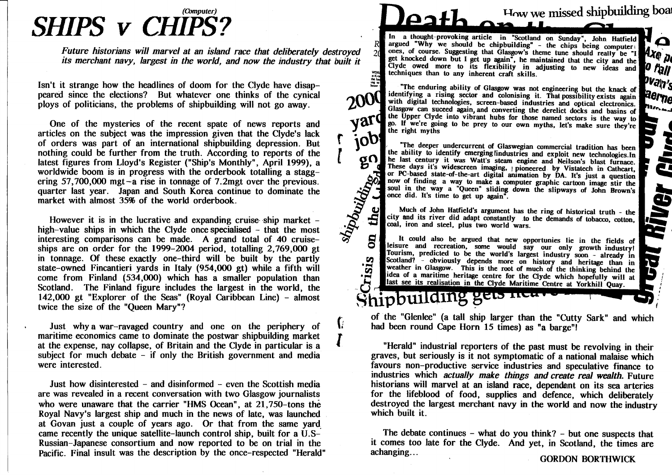# *(Computer) SHIPS V CHIPS?*

*Future historians will marvel at an island race that deliberately destroyed its merchant navy, largest in the world, and now the industry that built it* 

**Isn't it strange how the headlines of doom for the Clyde have disap- peared since the elections? But whatever one thinks of the cynical ploys of politicians, the problems of shipbuilding will not go away.** 

**One of the mysteries of the recent spate of news reports and articles on the subject was the impression given that the Clyde's lack of orders was part of an international shipbuilding depression. But nothing could be further from the truth. According to reports of the latest figures from Lloyd's Register ("Ship's Monthly", April 1999), a worldwide boom is in progress with the orderbook totalling a stagg- ering 57,700,000 mgt-a rise in tonnage of 7.2mgt over the previous, quarter last year. Japan and South Korea continue to dominate the market with almost 35% of the world orderbook.** 

**However it is in the lucrative and expanding cruise ship market - high-value ships in which the Clyde once specialised - that the most interesting comparisons can be made. A grand total of 40 cruise- ships are on order for the 1999-2004 period, totalling 2,769,000 gt in tonnage. Of these exactly one-third will be built by the partly** state-owned Fincantieri yards in Italy (954,000 gt) while a fifth will **come from Finland (534,000) which has a smaller population than Scotland. The Finland figure includes the largest in the world, the 142,000 gt "Explorer of the Seas" (Royal Caribbean Line) - almost twice the size of the "Queen Mary"?** 

**Just whd country and one on the periphery of with a war-ravaged country and one on the periphery of maritime economics came to dominate the postwar shipbuilding market at the expense, nay collapse, of Britain and the Clyde in particular is a subject for much debate - if only the British government and media were interested.** 

**Just how disinterested - and disinformed - even the Scottish media are was revealed in a recent conversation with two Glasgow journalists who were unaware that the carrier "HMS Ocean", at 21,750-tons the Royal Navy's largest ship and much in the news of late, was launched at Govan just a couple of years ago. Or that from the same yard came recently the unique satellite-launch control ship, built for a U.S- Russian-Japanese consortium and now reported to be on trial in the Pacific. Final insult was the description by the once-respected "Herald"** 

## $A$ **Mow we missed shipbuildii ^ boai**

**o Mxe** p

 $\boldsymbol{p}$  figli Pvan<sub>2</sub> aer<sub>ne</sub>

*H* 

E

**KIVer** 

In a thought-provoking article in "Scotland on Sunday", John Hatfield argued "Why we should be chipbuilding" - the chips being computer **i** ones, of course. Suggesting that Glasgow's theme tune should really be "I get knocked down but I get up again", he maintained that the city and the  $\overline{a}$  Clyde owed more to its flexibility i n adjusting to new ideas and techniques than to any inherent craft skills.



 $\sigma$  $\Omega$ 

shipbuilding,

V

**CO CO** 

Shipbuilding

Inc enduring ability of Glasgow was not engineering but the knack of identifying a rising sector and colonising it. That possibility exists again with digital technologies, screen-based industries and optical electronics. Glasgow can suceed again, and converting the derelict docks and basins of yard the Upper Clyde into vibrant hubs for those named sectors is the way to go. If we're going to be prey to our own myths, let's make sure they're the right myths  $job$ 

The deeper undercurrent of Glaswegian commercial tradition has been the ability to identify emerging findustries and exploit new technologies.In he last century it was Watt's steam engine and Neilson's blast furnace. Inese days it's widescreen imaging, j pioneered by Vistatech in Cathcart, or PC-based state-of-the-art digital animation by DA. It's just a question now of finding a way to make a computer graphic cartoon image stir the soul in the way a "Queen" sliding down the slipways of John Brown's once did. It's time to get up again".

Much of John Hatfield's argument has the ring of historical truth - the city and its river did adapt constantly to the demands of tobacco, cotton, coal, iron and steel, plus two world wars.

It could also be argued that new opportunies lie in the fields of leisure and recreation, some would say our only growth industry! Tourism, predicted to be the world's largest industry soon - already in  $\frac{\partial \mathbf{C}(\mathbf{C})}{\partial \mathbf{C}}$  - obviously depends more on history and heritage than in weather in Glasgow. This is the root of much of the thinking behind the weather in Glasgow. This is the root of much of the thinking behind the idea of a maritime heritage centre for the Clyde which hopefully will at ast see its realisation in the Clyde Maritime Centre at Yorkhill Quay.

 **of the "Glenlee" (a tall ship larger than the "Cutty Sark" and which had been round Cape Horn 15 times) as "a barge"!** 

**"Herald" industrial reporters of the past must be revolving in their graves, but seriously is it not s)miptomatic of a national malaise which favours non-productive service industries and speculative finance to industries which** *actually make things and create real wealth.* **Future historians will marvel at an island race, dependsint on its sea arteries for the lifeblood of food, supplies and defence, which deliberately destroyed the largest merchant navy in the world and now the industry which built it.** 

**The debate continues - what do you think? - but one suspects that i** comes too late for the Clyde. And yet, in Scotland, the times are  $\frac{1}{2}$ 

**achangmg... GORDON BORTHWICK**